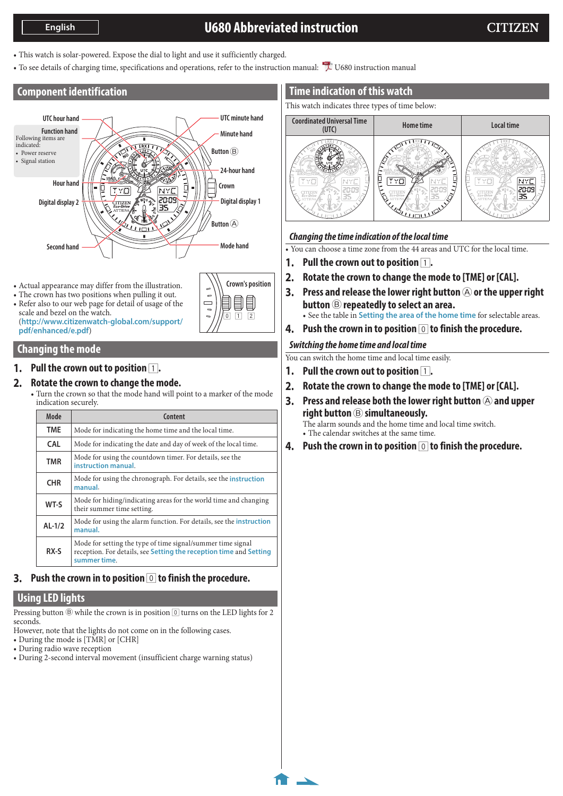# **U680 Abbreviated instruction**

**1/4**

- <span id="page-0-0"></span>• This watch is solar-powered. Expose the dial to light and use it sufficiently charged.
- To see details of charging time, specifications and operations, refer to the instruction manual: LU680 instruction manual

**Crown's position**

E

 $\boxed{1}$   $\boxed{2}$ 

 $\Box$ 

# **Component identification**



- Actual appearance may differ from the illustration.
- The crown has two positions when pulling it out.
- Refer also to our web page for detail of usage of the scale and bezel on the watch. (**http://www.citizenwatch-global.com/support/ pdf/enhanced/e.pdf**)

# **Changing the mode**

## **1.** Pull the crown out to position  $\boxed{1}$ .

### **2. Rotate the crown to change the mode.**

• Turn the crown so that the mode hand will point to a marker of the mode indication securely.

| Mode       | Content                                                                                                                                           |
|------------|---------------------------------------------------------------------------------------------------------------------------------------------------|
| <b>TME</b> | Mode for indicating the home time and the local time.                                                                                             |
| <b>CAL</b> | Mode for indicating the date and day of week of the local time.                                                                                   |
| TMR        | Mode for using the countdown timer. For details, see the<br>instruction manual.                                                                   |
| <b>CHR</b> | Mode for using the chronograph. For details, see the <i>instruction</i><br>manual.                                                                |
| WT-S       | Mode for hiding/indicating areas for the world time and changing<br>their summer time setting.                                                    |
| $AL-1/2$   | Mode for using the alarm function. For details, see the <b>instruction</b><br>manual.                                                             |
| RX-S       | Mode for setting the type of time signal/summer time signal<br>reception. For details, see Setting the reception time and Setting<br>summer time. |

# **3. Push the crown in to position** 0 **to finish the procedure.**

# **Using LED lights**

Pressing button  $\circledR$  while the crown is in position  $\circledR$  turns on the LED lights for 2 seconds.

- However, note that the lights do not come on in the following cases.
- During the mode is [TMR] or [CHR]
- During radio wave reception
- During 2-second interval movement (insufficient charge warning status)

# **Time indication of this watch**

This watch indicates three types of time below:



# *Changing the time indication of the local time*

• You can choose a time zone from the 44 areas and UTC for the local time.

- **1.** Pull the crown out to position  $\boxed{1}$ .
- **2. Rotate the crown to change the mode to [TME] or [CAL].**
- **3.** Press and release the lower right button  $\bigcirc$  or the upper right **button** B **repeatedly to select an area.** • See the table in **[Setting the area of the home time](#page-1-0)** for selectable areas.
- **4. Push the crown in to position** 0 **to finish the procedure.**

### *Switching the home time and local time*

You can switch the home time and local time easily.

- **1.** Pull the crown out to position  $\boxed{1}$ .
- **2. Rotate the crown to change the mode to [TME] or [CAL].**
- **3.** Press and release both the lower right button  $\bigcirc$  and upper **right button** B **simultaneously.** The alarm sounds and the home time and local time switch. • The calendar switches at the same time.
- **4. Push the crown in to position** 0 **to finish the procedure.**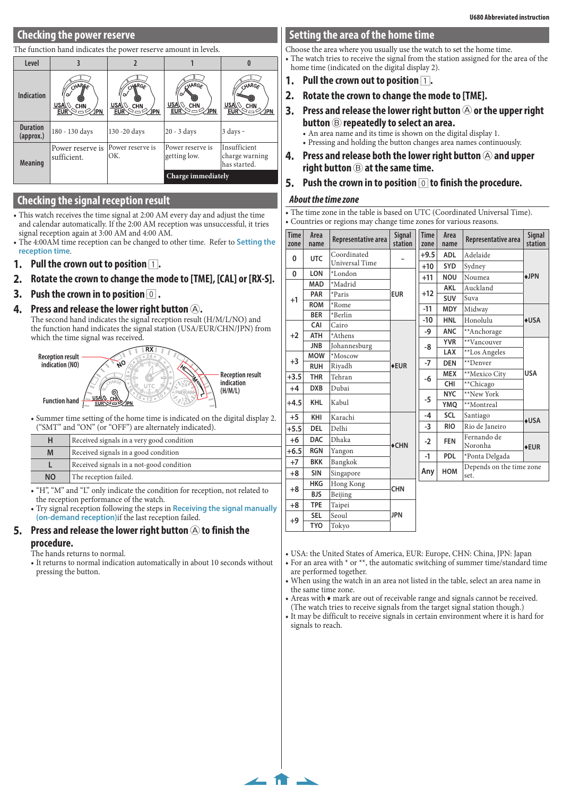# **Checking the power reserve**

#### The function hand indicates the power reserve amount in levels.

| Level                        |                                                                                                                                                                       |                         |                                                                          |                                                |
|------------------------------|-----------------------------------------------------------------------------------------------------------------------------------------------------------------------|-------------------------|--------------------------------------------------------------------------|------------------------------------------------|
| <b>Indication</b>            | CHARGE<br>CHARGE<br>ΓW<br>$USA\&\Diamond$<br>$\overline{\mathtt{USA}}\!\!\setminus\!\!\setminus$ Chn<br><b>CHN</b><br>$EUR \leq 0$<br>$EUR \gtrsim c$<br>∕JPN<br>∕JPN |                         | HARG <sub>A</sub><br>r<br><u>USA\</u><br>CHN<br>EUR <sup>\</sup><br>∕JPN | HARGE<br>USA)<br>CHN<br><b>EUR</b><br>∕JPN     |
| <b>Duration</b><br>(approx.) | 180 - 130 days                                                                                                                                                        | 130 -20 days            | $20 - 3$ days                                                            | $3 \text{ days} -$                             |
| <b>Meaning</b>               | Power reserve is<br>sufficient.                                                                                                                                       | Power reserve is<br>OK. | Power reserve is<br>getting low.                                         | Insufficient<br>charge warning<br>has started. |
|                              |                                                                                                                                                                       |                         | Charge immediately                                                       |                                                |

#### **Checking the signal reception result**

- This watch receives the time signal at 2:00 AM every day and adjust the time and calendar automatically. If the 2:00 AM reception was unsuccessful, it tries signal reception again at 3:00 AM and 4:00 AM.
- The 4:00AM time reception can be changed to other time. Refer to **[Setting the](#page-2-0)  [reception time](#page-2-0)**.
- **1.** Pull the crown out to position  $\boxed{1}$ .
- **2. Rotate the crown to change the mode to [TME], [CAL] or [RX-S].**
- **3. Push the crown in to position** 0 **.**
- **4.** Press and release the lower right button  $\textcircled{A}$ .

The second hand indicates the signal reception result (H/M/L/NO) and the function hand indicates the signal station (USA/EUR/CHN/JPN) from which the time signal was received.



• Summer time setting of the home time is indicated on the digital display 2. ("SMT" and "ON" (or "OFF") are alternately indicated).

| н         | Received signals in a very good condition |  |
|-----------|-------------------------------------------|--|
| M         | Received signals in a good condition      |  |
|           | Received signals in a not-good condition  |  |
| <b>NO</b> | The reception failed.                     |  |
|           |                                           |  |

• "H", "M" and "L" only indicate the condition for reception, not related to the reception performance of the watch.

• Try signal reception following the steps in **[Receiving the signal manually](#page-2-2)  [\(on-demand reception\)](#page-2-2)**if the last reception failed.

#### **5.** Press and release the lower right button  $\bigcirc$  to finish the **procedure.**

- The hands returns to normal.
- It returns to normal indication automatically in about 10 seconds without pressing the button.

### <span id="page-1-0"></span>**Setting the area of the home time**

Choose the area where you usually use the watch to set the home time. • The watch tries to receive the signal from the station assigned for the area of the home time (indicated on the digital display 2).

- **1.** Pull the crown out to position  $\boxed{1}$ .
- **2. Rotate the crown to change the mode to [TME].**
- **3.** Press and release the lower right button  $\widehat{A}$  or the upper right **button** B **repeatedly to select an area.**

• An area name and its time is shown on the digital display 1.

- Pressing and holding the button changes area names continuously.
- **4.** Press and release both the lower right button  $\Theta$  and upper **right button** B **at the same time.**
- **5. Push the crown in to position** 0 **to finish the procedure.**

#### *About the time zone*

**[2/4](#page-0-0)**

• The time zone in the table is based on UTC (Coordinated Universal Time). • Countries or regions may change time zones for various reasons.

| <b>Time</b><br>zone | Area<br>name | Representative area   | Signal<br>station | <b>Time</b><br>zone | Area<br>name | Representative area      | Signal<br>station |  |
|---------------------|--------------|-----------------------|-------------------|---------------------|--------------|--------------------------|-------------------|--|
| 0                   | <b>UTC</b>   | Coordinated           |                   | $+9.5$              | <b>ADL</b>   | Adelaide                 |                   |  |
|                     |              | <b>Universal Time</b> |                   | $+10$               | <b>SYD</b>   | Sydney                   |                   |  |
| $\mathbf{0}$        | <b>LON</b>   | *London               |                   | $+11$               | <b>NOU</b>   | Noumea                   | +JPN              |  |
|                     | MAD          | *Madrid               |                   |                     | <b>AKL</b>   | Auckland                 |                   |  |
| $+1$                | PAR          | *Paris                | <b>EUR</b>        | $+12$               | <b>SUV</b>   | Suva                     |                   |  |
|                     | <b>ROM</b>   | *Rome                 |                   | $-11$               | <b>MDY</b>   | Midway                   |                   |  |
|                     | <b>BER</b>   | *Berlin               |                   | $-10$               | <b>HNL</b>   | Honolulu                 | $+USA$            |  |
|                     | CAI          | Cairo                 |                   | -9                  | <b>ANC</b>   | **Anchorage              |                   |  |
| $+2$                | <b>ATH</b>   | *Athens               |                   |                     | <b>YVR</b>   | **Vancouver              |                   |  |
|                     | <b>JNB</b>   | Johannesburg          |                   | -8                  |              |                          |                   |  |
| $+3$                | <b>MOW</b>   | *Moscow               |                   |                     | <b>LAX</b>   | **Los Angeles            |                   |  |
|                     | <b>RUH</b>   | Riyadh                | $+EUR$            | $-7$                | <b>DEN</b>   | **Denver                 |                   |  |
| $+3.5$              | <b>THR</b>   | Tehran                |                   | -6                  | <b>MEX</b>   | **Mexico City            | <b>USA</b>        |  |
| $+4$                | <b>DXB</b>   | Dubai                 |                   |                     | CHI          | **Chicago                |                   |  |
|                     | <b>KHL</b>   |                       |                   |                     | $-5$         | <b>NYC</b>               | **New York        |  |
| $+4.5$              |              | Kabul                 |                   |                     | YMQ          | **Montreal               |                   |  |
| $+5$                | KHI          | Karachi               |                   | -4                  | SCL          | Santiago                 | <b>+USA</b>       |  |
| $+5.5$              | <b>DEL</b>   | Delhi                 |                   | $-3$                | <b>RIO</b>   | Rio de Janeiro           |                   |  |
| $+6$                | <b>DAC</b>   | Dhaka                 | $\triangle$ CHN   | $-2$                | <b>FEN</b>   | Fernando de<br>Noronha   | $+EUR$            |  |
| $+6.5$              | <b>RGN</b>   | Yangon                |                   | $-1$                | <b>PDL</b>   | *Ponta Delgada           |                   |  |
| $+7$                | <b>BKK</b>   | Bangkok               |                   |                     |              | Depends on the time zone |                   |  |
| $+8$                | <b>SIN</b>   | Singapore             | Any               |                     | <b>HOM</b>   | set.                     |                   |  |
| $+8$                | <b>HKG</b>   | Hong Kong             | <b>CHN</b>        |                     |              |                          |                   |  |
|                     | <b>BJS</b>   | Beijing               |                   |                     |              |                          |                   |  |
| $+8$                | <b>TPE</b>   | Taipei                |                   |                     |              |                          |                   |  |
| $+9$                | <b>SEL</b>   | Seoul                 | <b>JPN</b>        |                     |              |                          |                   |  |
|                     | <b>TYO</b>   | Tokyo                 |                   |                     |              |                          |                   |  |

• USA: the United States of America, EUR: Europe, CHN: China, JPN: Japan

• For an area with  $*$  or  $**$ , the automatic switching of summer time/standard time are performed together.

- When using the watch in an area not listed in the table, select an area name in the same time zone.
- Areas with ♦ mark are out of receivable range and signals cannot be received. (The watch tries to receive signals from the target signal station though.)

• It may be difficult to receive signals in certain environment where it is hard for signals to reach.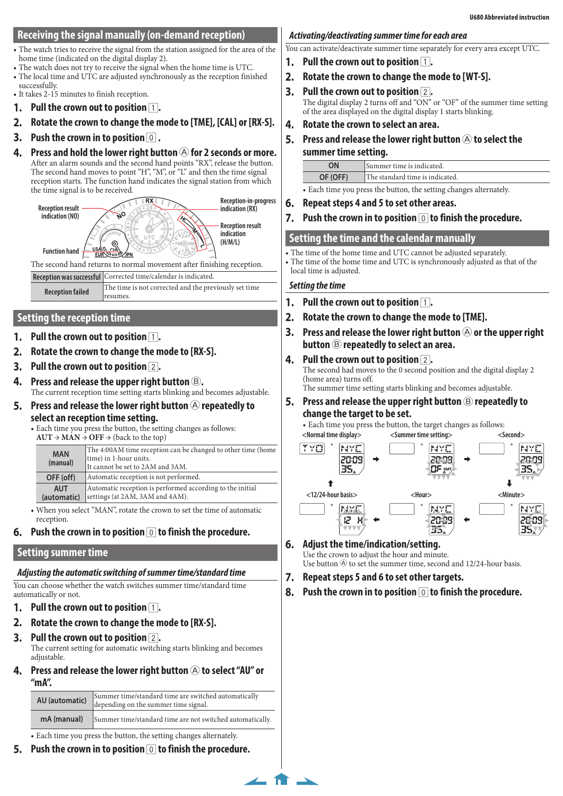# <span id="page-2-2"></span>**Receiving the signal manually (on-demand reception)**

- The watch tries to receive the signal from the station assigned for the area of the home time (indicated on the digital display 2).
- The watch does not try to receive the signal when the home time is UTC.
- The local time and UTC are adjusted synchronously as the reception finished successfully.
- It takes 2-15 minutes to finish reception.
- **1.** Pull the crown out to position  $\boxed{1}$ .
- **2. Rotate the crown to change the mode to [TME], [CAL] or [RX-S].**
- **3. Push the crown in to position** 0 **.**
- **4.** Press and hold the lower right button  $\bigcirc$  for 2 seconds or more. After an alarm sounds and the second hand points "RX", release the button. The second hand moves to point "H", "M", or "L" and then the time signal reception starts. The function hand indicates the signal station from which



# <span id="page-2-0"></span>**Setting the reception time**

- **Pull the crown out to position 1.**
- **2. Rotate the crown to change the mode to [RX-S].**
- **3. Pull the crown out to position** 2**.**
- **4. Press and release the upper right button** B**.** The current reception time setting starts blinking and becomes adjustable.
- **5.** Press and release the lower right button  $\bigcirc$  repeatedly to **select an reception time setting.**
	- Each time you press the button, the setting changes as follows:  $AUT \rightarrow MAN \stackrel{\sim}{\rightarrow}$  **OFF**  $\rightarrow$  (back to the top)

|           | $1101$ / $14111$ / $011$ / $0400$ to the top) |                                                                                                                            |  |
|-----------|-----------------------------------------------|----------------------------------------------------------------------------------------------------------------------------|--|
|           | <b>MAN</b><br>(manual)                        | The 4:00AM time reception can be changed to other time (home<br>time) in 1-hour units.<br>It cannot be set to 2AM and 3AM. |  |
| OFF (off) |                                               | Automatic reception is not performed.                                                                                      |  |
|           | <b>AUT</b><br>(automatic)                     | Automatic reception is performed according to the initial<br>settings (at 2AM, 3AM and 4AM).                               |  |

- When you select "MAN", rotate the crown to set the time of automatic reception.
- **6. Push the crown in to position** 0 **to finish the procedure.**

#### <span id="page-2-1"></span>**Setting summer time**

#### *Adjusting the automatic switching of summer time/standard time*

You can choose whether the watch switches summer time/standard time automatically or not.

- **1.** Pull the crown out to position  $\boxed{1}$ .
- **2. Rotate the crown to change the mode to [RX-S].**
- **3. Pull the crown out to position** 2**.**

The current setting for automatic switching starts blinking and becomes adjustable.

**4.** Press and release the lower right button  $\widehat{A}$  to select "AU" or **"mA".**

| AU (automatic) | $\begin{array}{ l } \hline \textbf{Summer time/standard time are switched automatically} \\ \hline \textbf{depending on the summer time signal.} \end{array}$ |
|----------------|---------------------------------------------------------------------------------------------------------------------------------------------------------------|
| mA (manual)    | Summer time/standard time are not switched automatically.                                                                                                     |

- Each time you press the button, the setting changes alternately.
- **5. Push the crown in to position** 0 **to finish the procedure.**

## *Activating/deactivating summer time for each area*

You can activate/deactivate summer time separately for every area except UTC.

- **1. Pull the crown out to position** 1**.**
- **2. Rotate the crown to change the mode to [WT-S].**
- **3. Pull the crown out to position** 2**.** The digital display 2 turns off and "ON" or "OF" of the summer time setting of the area displayed on the digital display 1 starts blinking.
- **4. Rotate the crown to select an area.**
- **5.** Press and release the lower right button  $\widehat{A}$  to select the **summer time setting.**

| ΟN       | "Summer time is indicated.      |
|----------|---------------------------------|
| OF (OFF) | The standard time is indicated. |
|          |                                 |

• Each time you press the button, the setting changes alternately.

- **6. Repeat steps 4 and 5 to set other areas.**
- **7. Push the crown in to position** 0 **to finish the procedure.**

#### **Setting the time and the calendar manually**

• The time of the home time and UTC cannot be adjusted separately.

• The time of the home time and UTC is synchronously adjusted as that of the local time is adjusted.

#### *Setting the time*

- **1.** Pull the crown out to position  $\boxed{1}$ .
- **2. Rotate the crown to change the mode to [TME].**
- **3.** Press and release the lower right button  $\bigcirc$  or the upper right **button** B **repeatedly to select an area.**
- **4. Pull the crown out to position** 2**.** The second had moves to the 0 second position and the digital display 2 (home area) turns off. The summer time setting starts blinking and becomes adjustable.
- **5.** Press and release the upper right button  $\circledB$  repeatedly to **change the target to be set.**

• Each time you press the button, the target changes as follows:



#### **6. Adjust the time/indication/setting.** Use the crown to adjust the hour and minute.

Use button  $\circledA$  to set the summer time, second and 12/24-hour basis.

**7. Repeat steps 5 and 6 to set other targets.**

**8. Push the crown in to position** 0 **to finish the procedure.**